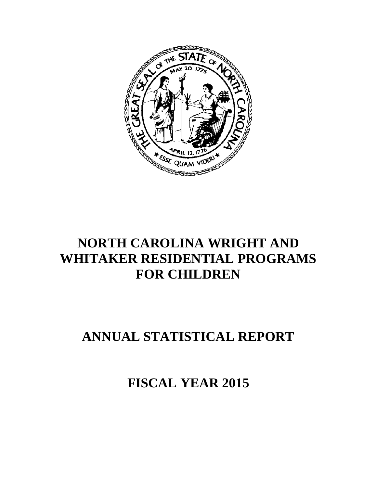

# **NORTH CAROLINA WRIGHT AND WHITAKER RESIDENTIAL PROGRAMS FOR CHILDREN**

# **ANNUAL STATISTICAL REPORT**

**FISCAL YEAR 2015**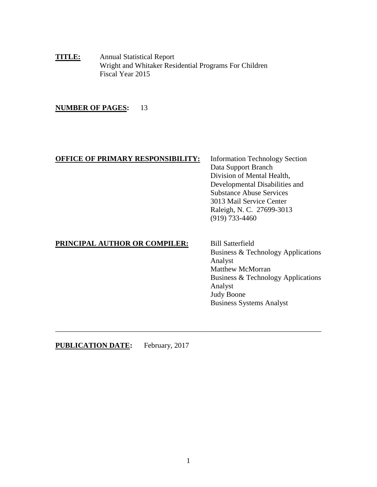**TITLE:** Annual Statistical Report Wright and Whitaker Residential Programs For Children Fiscal Year 2015

# **NUMBER OF PAGES:** 13

# **OFFICE OF PRIMARY RESPONSIBILITY:** Information Technology Section

Data Support Branch Division of Mental Health, Developmental Disabilities and Substance Abuse Services 3013 Mail Service Center Raleigh, N. C. 27699-3013 (919) 733-4460

# **PRINCIPAL AUTHOR OR COMPILER:** Bill Satterfield

Business & Technology Applications Analyst Matthew McMorran Business & Technology Applications Analyst Judy Boone Business Systems Analyst

**PUBLICATION DATE:** February, 2017

\_\_\_\_\_\_\_\_\_\_\_\_\_\_\_\_\_\_\_\_\_\_\_\_\_\_\_\_\_\_\_\_\_\_\_\_\_\_\_\_\_\_\_\_\_\_\_\_\_\_\_\_\_\_\_\_\_\_\_\_\_\_\_\_\_\_\_\_\_\_\_\_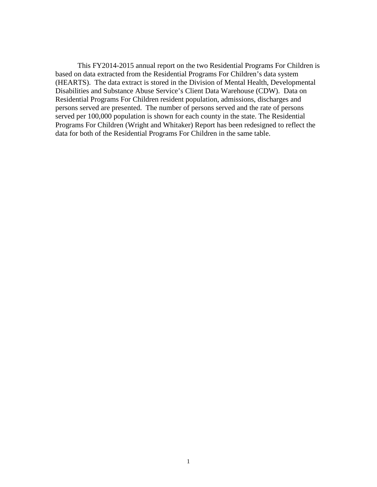This FY2014-2015 annual report on the two Residential Programs For Children is based on data extracted from the Residential Programs For Children's data system (HEARTS). The data extract is stored in the Division of Mental Health, Developmental Disabilities and Substance Abuse Service's Client Data Warehouse (CDW). Data on Residential Programs For Children resident population, admissions, discharges and persons served are presented. The number of persons served and the rate of persons served per 100,000 population is shown for each county in the state. The Residential Programs For Children (Wright and Whitaker) Report has been redesigned to reflect the data for both of the Residential Programs For Children in the same table.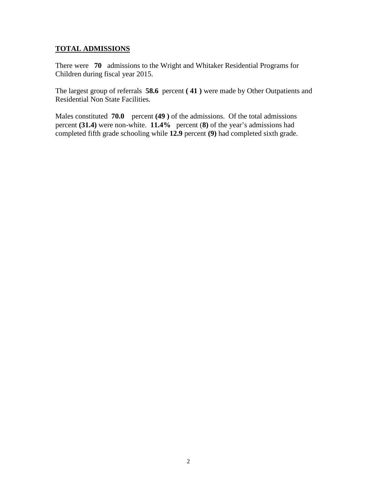# **TOTAL ADMISSIONS**

There were **70** admissions to the Wright and Whitaker Residential Programs for Children during fiscal year 2015.

The largest group of referrals **58.6** percent **( 41 )** were made by Other Outpatients and Residential Non State Facilities.

Males constituted **70.0** percent **(49 )** of the admissions. Of the total admissions percent **(31.4)** were non-white. **11.4%** percent (**8)** of the year's admissions had completed fifth grade schooling while **12.9** percent **(9)** had completed sixth grade.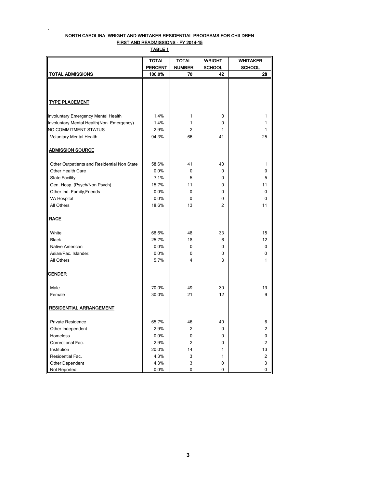## NORTH CAROLINA WRIGHT AND WHITAKER RESIDENTIAL PROGRAMS FOR CHILDREN FIRST AND READMISSIONS - FY 2014-15

**.**

TABLE 1

|                                                                                 | <b>TOTAL</b>   | <b>TOTAL</b>   | <b>WRIGHT</b>  | <b>WHITAKER</b> |
|---------------------------------------------------------------------------------|----------------|----------------|----------------|-----------------|
|                                                                                 | <b>PERCENT</b> | <b>NUMBER</b>  | <b>SCHOOL</b>  | <b>SCHOOL</b>   |
| <b>TOTAL ADMISSIONS</b>                                                         | 100.0%         | 70             | 42             | 28              |
|                                                                                 |                |                |                |                 |
|                                                                                 |                |                |                |                 |
|                                                                                 |                |                |                |                 |
| <b>TYPE PLACEMENT</b>                                                           |                |                |                |                 |
|                                                                                 | 1.4%           | 1              | 0              | 1               |
| Involuntary Emergency Mental Health<br>Involuntary Mental Health(Non_Emergency) | 1.4%           | 1              | 0              | 1               |
| <b>NO COMMITMENT STATUS</b>                                                     | 2.9%           | 2              | 1              | 1               |
| <b>Voluntary Mental Health</b>                                                  | 94.3%          | 66             | 41             | 25              |
|                                                                                 |                |                |                |                 |
| <b>ADMISSION SOURCE</b>                                                         |                |                |                |                 |
| Other Outpatients and Residential Non State                                     | 58.6%          | 41             | 40             | 1               |
| Other Health Care                                                               | 0.0%           | 0              | 0              | 0               |
| <b>State Facility</b>                                                           | 7.1%           | 5              | 0              | 5               |
|                                                                                 | 15.7%          | 11             | 0              | 11              |
| Gen. Hosp. (Psych/Non Psych)                                                    | 0.0%           | 0              | 0              | 0               |
| Other Ind. Family, Friends                                                      |                | 0              | 0              | $\mathbf 0$     |
| <b>VA Hospital</b>                                                              | 0.0%           |                |                |                 |
| All Others                                                                      | 18.6%          | 13             | $\overline{2}$ | 11              |
| <b>RACE</b>                                                                     |                |                |                |                 |
| White                                                                           | 68.6%          | 48             | 33             | 15              |
| <b>Black</b>                                                                    | 25.7%          | 18             | 6              | 12              |
| Native American                                                                 | 0.0%           | 0              | 0              | 0               |
| Asian/Pac. Islander.                                                            | 0.0%           | 0              | 0              | 0               |
| All Others                                                                      | 5.7%           | 4              | 3              | 1               |
|                                                                                 |                |                |                |                 |
| <b>GENDER</b>                                                                   |                |                |                |                 |
| Male                                                                            | 70.0%          | 49             | 30             | 19              |
| Female                                                                          | 30.0%          | 21             | 12             | 9               |
|                                                                                 |                |                |                |                 |
| <b>RESIDENTIAL ARRANGEMENT</b>                                                  |                |                |                |                 |
| Private Residence                                                               | 65.7%          | 46             | 40             | 6               |
| Other Independent                                                               | 2.9%           | $\overline{2}$ | 0              | 2               |
| Homeless                                                                        | 0.0%           | 0              | 0              | 0               |
| Correctional Fac.                                                               | 2.9%           | 2              | 0              | $\overline{2}$  |
| Institution                                                                     | 20.0%          | 14             | 1              | 13              |
| Residential Fac.                                                                | 4.3%           | 3              | 1              | 2               |
| Other Dependent                                                                 | 4.3%           | 3              | 0              | 3               |
| Not Reported                                                                    | 0.0%           | 0              | 0              | 0               |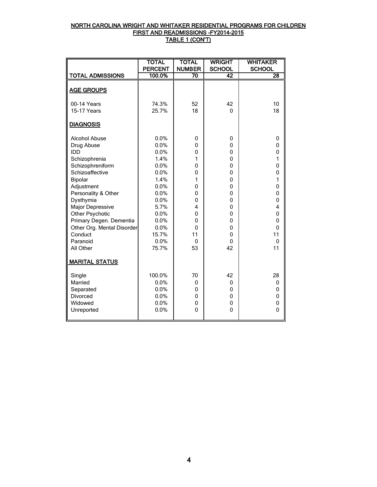## NORTH CAROLINA WRIGHT AND WHITAKER RESIDENTIAL PROGRAMS FOR CHILDREN FIRST AND READMISSIONS -FY2014-2015 TABLE 1 (CON'T)

|                            | <b>TOTAL</b>   | <b>TOTAL</b>  | <b>WRIGHT</b> | <b>WHITAKER</b>         |
|----------------------------|----------------|---------------|---------------|-------------------------|
|                            | <b>PERCENT</b> | <b>NUMBER</b> | <b>SCHOOL</b> | <b>SCHOOL</b>           |
| <b>TOTAL ADMISSIONS</b>    | 100.0%         | 70            | 42            | 28                      |
|                            |                |               |               |                         |
| <b>AGE GROUPS</b>          |                |               |               |                         |
| 00-14 Years                | 74.3%          | 52            | 42            | 10                      |
| 15-17 Years                | 25.7%          | 18            | $\mathbf{0}$  | 18                      |
|                            |                |               |               |                         |
| <b>DIAGNOSIS</b>           |                |               |               |                         |
| <b>Alcohol Abuse</b>       | 0.0%           | 0             | 0             | 0                       |
| Drug Abuse                 | 0.0%           | 0             | 0             | 0                       |
| <b>IDD</b>                 | 0.0%           | 0             | 0             | $\overline{0}$          |
| Schizophrenia              | 1.4%           | 1             | 0             | 1                       |
| Schizophreniform           | 0.0%           | 0             | 0             | $\overline{0}$          |
| Schizoaffective            | 0.0%           | 0             | 0             | $\overline{0}$          |
| Bipolar                    | 1.4%           | 1             | 0             | 1                       |
| Adjustment                 | 0.0%           | 0             | 0             | $\mathbf 0$             |
| Personality & Other        | 0.0%           | 0             | 0             | $\mathbf 0$             |
| Dysthymia                  | 0.0%           | 0             | 0             | $\mathbf 0$             |
| Major Depressive           | 5.7%           | 4             | 0             | $\overline{\mathbf{4}}$ |
| Other Psychotic            | 0.0%           | 0             | 0             | $\mathbf 0$             |
| Primary Degen. Dementia    | 0.0%           | 0             | 0             | $\mathbf 0$             |
| Other Org. Mental Disorder | 0.0%           | $\mathbf{0}$  | 0             | $\overline{0}$          |
| Conduct                    | 15.7%          | 11            | 0             | 11                      |
| Paranoid                   | 0.0%           | $\mathbf{0}$  | $\Omega$      | $\mathbf 0$             |
| All Other                  | 75.7%          | 53            | 42            | 11                      |
| <b>MARITAL STATUS</b>      |                |               |               |                         |
| Single                     | 100.0%         | 70            | 42            | 28                      |
| Married                    | 0.0%           | 0             | 0             | 0                       |
| Separated                  | 0.0%           | 0             | 0             | 0                       |
| <b>Divorced</b>            | 0.0%           | 0             | 0             | 0                       |
| Widowed                    | 0.0%           | 0             | 0             | 0                       |
| Unreported                 | 0.0%           | 0             | 0             | $\mathbf 0$             |
|                            |                |               |               |                         |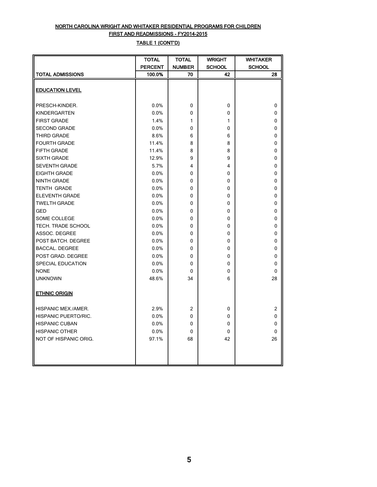# NORTH CAROLINA WRIGHT AND WHITAKER RESIDENTIAL PROGRAMS FOR CHILDREN FIRST AND READMISSIONS - FY2014-2015

# TABLE 1 (CONT'D)

|                         | <b>TOTAL</b>   | <b>TOTAL</b>  | <b>WRIGHT</b> | <b>WHITAKER</b> |
|-------------------------|----------------|---------------|---------------|-----------------|
|                         | <b>PERCENT</b> | <b>NUMBER</b> | <b>SCHOOL</b> | <b>SCHOOL</b>   |
| <b>TOTAL ADMISSIONS</b> | 100.0%         | 70            | 42            | 28              |
|                         |                |               |               |                 |
| <b>EDUCATION LEVEL</b>  |                |               |               |                 |
|                         |                |               |               |                 |
| PRESCH-KINDER.          | 0.0%           | 0             | 0             | 0               |
| <b>KINDERGARTEN</b>     | 0.0%           | 0             | 0             | 0               |
| <b>FIRST GRADE</b>      | 1.4%           | 1             | 1             | 0               |
| <b>SECOND GRADE</b>     | 0.0%           | 0             | 0             | 0               |
| THIRD GRADE             | 8.6%           | 6             | 6             | 0               |
| <b>FOURTH GRADE</b>     | 11.4%          | 8             | 8             | 0               |
| FIFTH GRADE             | 11.4%          | 8             | 8             | 0               |
| <b>SIXTH GRADE</b>      | 12.9%          | 9             | 9             | 0               |
| <b>SEVENTH GRADE</b>    | 5.7%           | 4             | 4             | 0               |
| <b>EIGHTH GRADE</b>     | 0.0%           | 0             | 0             | 0               |
| <b>NINTH GRADE</b>      | 0.0%           | 0             | 0             | 0               |
| <b>TENTH GRADE</b>      | 0.0%           | 0             | 0             | 0               |
| <b>ELEVENTH GRADE</b>   | 0.0%           | $\mathbf{0}$  | 0             | 0               |
| <b>TWELTH GRADE</b>     | 0.0%           | $\mathbf{0}$  | 0             | 0               |
| <b>GED</b>              | 0.0%           | 0             | 0             | 0               |
| SOME COLLEGE            | 0.0%           | 0             | 0             | 0               |
| TECH. TRADE SCHOOL      | 0.0%           | $\mathbf{0}$  | 0             | 0               |
| ASSOC. DEGREE           | 0.0%           | 0             | 0             | 0               |
| POST BATCH. DEGREE      | 0.0%           | 0             | 0             | 0               |
| <b>BACCAL. DEGREE</b>   | 0.0%           | 0             | 0             | 0               |
| POST GRAD. DEGREE       | 0.0%           | 0             | 0             | 0               |
| SPECIAL EDUCATION       | 0.0%           | $\mathbf{0}$  | 0             | 0               |
| <b>NONE</b>             | 0.0%           | 0             | 0             | 0               |
| <b>UNKNOWN</b>          | 48.6%          | 34            | 6             | 28              |
|                         |                |               |               |                 |
| <b>ETHNIC ORIGIN</b>    |                |               |               |                 |
|                         |                |               |               |                 |
| HISPANIC MEX./AMER.     | 2.9%           | 2             | 0             | $\overline{2}$  |
| HISPANIC PUERTO/RIC.    | 0.0%           | 0             | 0             | 0               |
| <b>HISPANIC CUBAN</b>   | 0.0%           | 0             | 0             | 0               |
| <b>HISPANIC OTHER</b>   | 0.0%           | $\mathbf 0$   | 0             | 0               |
| NOT OF HISPANIC ORIG.   | 97.1%          | 68            | 42            | 26              |
|                         |                |               |               |                 |
|                         |                |               |               |                 |
|                         |                |               |               |                 |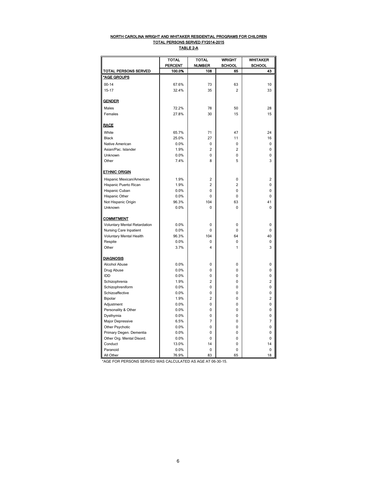#### NORTH CAROLINA WRIGHT AND WHITAKER RESIDENTIAL PROGRAMS FOR CHILDREN TOTAL PERSONS SERVED FY2014-2015

TABLE 2-A

|                                   | <b>TOTAL</b><br><b>WRIGHT</b><br>TOTAL |                | <b>WHITAKER</b> |                |
|-----------------------------------|----------------------------------------|----------------|-----------------|----------------|
|                                   | <b>PERCENT</b>                         | <b>NUMBER</b>  | SCHOOL          | <b>SCHOOL</b>  |
| TOTAL PERSONS SERVED              | 100.0%                                 | 108            | 65              | 43             |
| *AGE GROUPS                       |                                        |                |                 |                |
| $00 - 14$                         | 67.6%                                  | 73             | 63              | 10             |
| $15 - 17$                         | 32.4%                                  | 35             | $\overline{2}$  | 33             |
|                                   |                                        |                |                 |                |
| <b>GENDER</b>                     |                                        |                |                 |                |
| Males                             | 72.2%                                  | 78             | 50              | 28             |
| Females                           | 27.8%                                  | 30             | 15              | 15             |
|                                   |                                        |                |                 |                |
| <b>RACE</b>                       |                                        |                |                 |                |
| White                             | 65.7%                                  | 71             | 47              | 24             |
| <b>Black</b>                      | 25.0%                                  | 27             | 11              | 16             |
| Native American                   | 0.0%                                   | $\Omega$       | 0               | $\Omega$       |
| Asian/Pac. Islander               | 1.9%                                   | $\overline{c}$ | $\overline{c}$  | 0              |
| Unknown                           | 0.0%                                   | 0              | 0               | 0              |
| Other                             | 7.4%                                   | 8              | 5               | 3              |
|                                   |                                        |                |                 |                |
| <b>ETHNIC ORIGIN</b>              |                                        |                |                 |                |
| Hispanic Mexican/American         | 1.9%                                   | $\overline{c}$ | 0               | 2              |
| Hispanic Puerto Rican             | 1.9%                                   | $\overline{2}$ | $\overline{2}$  | 0              |
| Hispanic Cuban                    | 0.0%                                   | 0              | 0               | 0              |
| Hispanic Other                    | 0.0%                                   | $\Omega$       | 0               | 0              |
| Not Hispanic Origin               | 96.3%                                  | 104            | 63              | 41             |
| Unknown                           | 0.0%                                   | 0              | 0               | 0              |
|                                   |                                        |                |                 |                |
| <b>COMMITMENT</b>                 |                                        |                |                 |                |
| Voluntary Mental Retardation      | 0.0%                                   | $\Omega$       | 0               | $\Omega$       |
| Nursing Care Inpatient            | 0.0%                                   | 0              | 0               | 0              |
| Voluntary Mental Health           | 96.3%                                  | 104            | 64              | 40             |
| Respite                           | 0.0%                                   | 0              | 0               | 0              |
| Other                             | 3.7%                                   | 4              | $\mathbf{1}$    | 3              |
|                                   |                                        |                |                 |                |
| <b>DIAGNOSIS</b>                  |                                        |                |                 |                |
| Alcohol Abuse                     | 0.0%                                   | 0<br>$\Omega$  | 0<br>0          | 0              |
| Drug Abuse<br>IDD                 | 0.0%                                   | 0              | 0               | 0<br>0         |
|                                   | 0.0%                                   | $\overline{2}$ |                 | $\overline{c}$ |
| Schizophrenia<br>Schizophreniform | 1.9%                                   | 0              | 0<br>0          | 0              |
| Schizoaffective                   | 0.0%<br>0.0%                           | 0              | 0               | 0              |
| Bipolar                           | 1.9%                                   | $\overline{2}$ | 0               | $\overline{2}$ |
| Adjustment                        | 0.0%                                   | 0              | 0               | 0              |
| Personality & Other               | 0.0%                                   | $\Omega$       | 0               | 0              |
| Dysthymia                         | 0.0%                                   | 0              | 0               | 0              |
| Major Depressive                  | 6.5%                                   | $\overline{7}$ | 0               | 7              |
| Other Psychotic                   | 0.0%                                   | 0              | 0               | 0              |
| Primary Degen. Dementia           | 0.0%                                   | 0              | 0               | 0              |
| Other Org. Mental Disord.         | 0.0%                                   | $\mathbf 0$    | 0               | 0              |
| Conduct                           | 13.0%                                  | 14             | 0               | 14             |
| Paranoid                          | 0.0%                                   | 0              | 0               | 0              |
| All Other                         | 76.9%                                  | 83             | 65              | 18             |

\*AGE FOR PERSONS SERVED WAS CALCULATED AS AGE AT 06-30-15.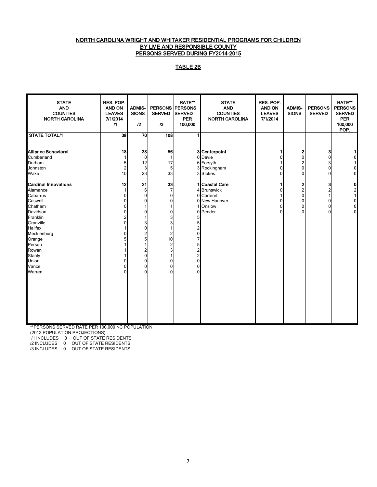#### NORTH CAROLINA WRIGHT AND WHITAKER RESIDENTIAL PROGRAMS FOR CHILDREN BY LME AND RESPONSIBLE COUNTY PERSONS SERVED DURING FY2014-2015

#### TABLE 2B

| <b>STATE</b><br><b>AND</b><br><b>COUNTIES</b><br><b>NORTH CAROLINA</b>                                                                                                                                      | RES. POP.<br><b>AND ON</b><br><b>LEAVES</b><br>7/1/2014<br>$\sqrt{1}$                                | <b>ADMIS-</b><br><b>SIONS</b><br>12                                                                     | <b>SERVED</b><br>/3                                                                                                                                                                                                             | <b>RATE**</b><br><b>PERSONS PERSONS</b><br><b>SERVED</b><br><b>PER</b><br>100,000                                                                 | <b>STATE</b><br><b>AND</b><br><b>COUNTIES</b><br><b>NORTH CAROLINA</b>            | RES. POP.<br>AND ON<br><b>LEAVES</b><br>7/1/2014 | <b>ADMIS-</b><br><b>SIONS</b>                                            | <b>PERSONS</b><br><b>SERVED</b>                                        | <b>RATE**</b><br><b>PERSONS</b><br><b>SERVED</b><br><b>PER</b><br>100,000<br>POP. |
|-------------------------------------------------------------------------------------------------------------------------------------------------------------------------------------------------------------|------------------------------------------------------------------------------------------------------|---------------------------------------------------------------------------------------------------------|---------------------------------------------------------------------------------------------------------------------------------------------------------------------------------------------------------------------------------|---------------------------------------------------------------------------------------------------------------------------------------------------|-----------------------------------------------------------------------------------|--------------------------------------------------|--------------------------------------------------------------------------|------------------------------------------------------------------------|-----------------------------------------------------------------------------------|
| <b>STATE TOTAL/1</b>                                                                                                                                                                                        | 38                                                                                                   | $\overline{70}$                                                                                         | 108                                                                                                                                                                                                                             |                                                                                                                                                   |                                                                                   |                                                  |                                                                          |                                                                        |                                                                                   |
| Alliance Behavioral<br>Cumberland<br>Durham<br>Johnston<br>Wake                                                                                                                                             | 18<br>1<br>5<br>$\overline{2}$<br>10                                                                 | 38<br>$\mathbf 0$<br>12<br>3<br>23                                                                      | 56<br>$\mathbf{1}$<br>17<br>5<br>33                                                                                                                                                                                             | 3<br>3                                                                                                                                            | 3 Centerpoint<br>0 Davie<br>6 Forsyth<br>Rockingham<br><b>Stokes</b>              | 1<br>0<br>0<br>$\overline{0}$                    | 2<br>0<br>2<br>$\pmb{0}$<br>$\mathbf 0$                                  | 3<br>0<br>3<br>0<br>0                                                  | 0<br>0<br>$\mathbf 0$                                                             |
| <b>Cardinal Innovations</b><br>Alamance<br>Cabarrus<br>Caswell<br>Chatham<br>Davidson<br>Franklin<br>Granville<br>Halifax<br>Mecklenburg<br>Orange<br>Person<br>Rowan<br>Stanly<br>Union<br>Vance<br>Warren | 12<br>0<br>$\Omega$<br>0<br>$\Omega$<br>$\overline{2}$<br>$\Omega$<br>0<br>0<br>$\Omega$<br>$\Omega$ | 21<br>6<br>0<br>$\Omega$<br>1<br>0<br>3<br>$\overline{0}$<br>2<br>5<br>2<br>0<br>0<br>0<br>$\mathbf{0}$ | 33<br>$\overline{7}$<br>$\mathbf 0$<br>$\mathbf 0$<br>1<br>$\mathbf 0$<br>3<br>3<br>$\overline{1}$<br>$\overline{2}$<br>10<br>$\overline{2}$<br>$\ensuremath{\mathsf{3}}$<br>$\overline{1}$<br>0<br>$\mathbf 0$<br>$\mathbf{0}$ | 1<br>4<br>$\Omega$<br>1<br>$\mathbf{0}$<br>5<br>5<br>2<br>$\mathbf 0$<br>7<br>5<br>2<br>$\overline{2}$<br>$\mathbf 0$<br>$\Omega$<br>$\mathbf{0}$ | Coastal Care<br><b>Brunswick</b><br>Carteret<br>0 New Hanover<br>Onslow<br>Pender | 1<br>0<br>0<br>0<br>0                            | 2<br>$\overline{\mathbf{c}}$<br>$\pmb{0}$<br>$\pmb{0}$<br>$\pmb{0}$<br>0 | 3<br>$\overline{\mathbf{c}}$<br>$\mathbf{1}$<br>0<br>0<br>$\mathbf{0}$ | $\mathbf 0$<br>$\overline{2}$<br>1<br>$\mathbf 0$<br>$\mathbf 0$<br>$\mathbf{0}$  |

\*\*PERSONS SERVED RATE PER 100,000 NC POPULATION

(2013 POPULATION PROJECTIONS)

/1 INCLUDES 0 OUT OF STATE RESIDENTS

/2 INCLUDES 0 OUT OF STATE RESIDENTS

/3 INCLUDES 0 OUT OF STATE RESIDENTS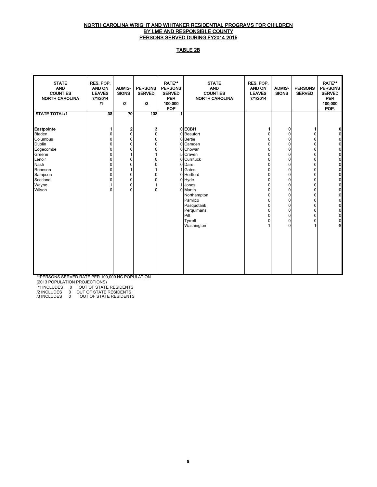#### NORTH CAROLINA WRIGHT AND WHITAKER RESIDENTIAL PROGRAMS FOR CHILDREN BY LME AND RESPONSIBLE COUNTY PERSONS SERVED DURING FY2014-2015

# TABLE 2B

| <b>STATE</b><br><b>AND</b><br><b>COUNTIES</b><br><b>NORTH CAROLINA</b>                                                                          | RES. POP.<br><b>AND ON</b><br><b>LEAVES</b><br>7/1/2014<br>$\sqrt{1}$            | <b>ADMIS-</b><br><b>SIONS</b><br>$^{12}$                                                                                             | <b>PERSONS</b><br><b>SERVED</b><br>$\sqrt{3}$                                                                     | <b>RATE**</b><br><b>PERSONS</b><br><b>SERVED</b><br><b>PER</b><br>100,000<br><b>POP</b> | <b>STATE</b><br><b>AND</b><br><b>COUNTIES</b><br><b>NORTH CAROLINA</b>                                                                                                                                                                     | RES. POP.<br><b>AND ON</b><br><b>LEAVES</b><br>7/1/2014                                          | <b>ADMIS-</b><br><b>SIONS</b>                                                                                                                                                                                              | <b>PERSONS</b><br><b>SERVED</b>                                                                                                                          | <b>RATE**</b><br><b>PERSONS</b><br><b>SERVED</b><br><b>PER</b><br>100,000<br>POP. |
|-------------------------------------------------------------------------------------------------------------------------------------------------|----------------------------------------------------------------------------------|--------------------------------------------------------------------------------------------------------------------------------------|-------------------------------------------------------------------------------------------------------------------|-----------------------------------------------------------------------------------------|--------------------------------------------------------------------------------------------------------------------------------------------------------------------------------------------------------------------------------------------|--------------------------------------------------------------------------------------------------|----------------------------------------------------------------------------------------------------------------------------------------------------------------------------------------------------------------------------|----------------------------------------------------------------------------------------------------------------------------------------------------------|-----------------------------------------------------------------------------------|
| <b>STATE TOTAL/1</b>                                                                                                                            | 38                                                                               | 70                                                                                                                                   | 108                                                                                                               |                                                                                         |                                                                                                                                                                                                                                            |                                                                                                  |                                                                                                                                                                                                                            |                                                                                                                                                          |                                                                                   |
| Eastpointe<br><b>Bladen</b><br>Columbus<br>Duplin<br>Edgecombe<br>Greene<br>Lenoir<br>Nash<br>Robeson<br>Sampson<br>Scotland<br>Wayne<br>Wilson | <sup>0</sup><br>U<br>U<br>0<br>0<br>0<br>0<br><sup>0</sup><br>0<br>0<br>$\Omega$ | $\mathbf{2}$<br>$\Omega$<br>$\Omega$<br>$\Omega$<br>$\Omega$<br>$\Omega$<br>$\Omega$<br>$\Omega$<br>$\Omega$<br>$\Omega$<br>$\Omega$ | 3<br>$\Omega$<br>$\Omega$<br>$\Omega$<br>$\Omega$<br>$\Omega$<br>$\Omega$<br>$\Omega$<br>$\mathbf{0}$<br>$\Omega$ |                                                                                         | 0 ECBH<br>0 Beaufort<br>0 Bertie<br>0 Camden<br>0 Chowan<br>5 Craven<br>0 Currituck<br>0 Dare<br>Gates<br>0 Hertford<br>0 Hyde<br>Jones<br>0 Martin<br>Northampton<br>Pamlico<br>Pasquotank<br>Perquimans<br>Pitt<br>Tyrrell<br>Washington | 1<br>0<br>0<br>0<br>0<br>0<br>0<br>0<br>0<br>0<br>0<br>0<br>0<br>0<br>0<br>0<br>0<br>0<br>0<br>1 | 0<br>0<br>$\pmb{0}$<br>$\mathbf 0$<br>$\pmb{0}$<br>$\pmb{0}$<br>$\pmb{0}$<br>$\pmb{0}$<br>$\pmb{0}$<br>$\pmb{0}$<br>$\pmb{0}$<br>$\pmb{0}$<br>$\pmb{0}$<br>$\pmb{0}$<br>0<br>$\pmb{0}$<br>$\pmb{0}$<br>0<br>$\pmb{0}$<br>0 | 1<br>$\mathbf 0$<br>$\pmb{0}$<br>$\mathbf 0$<br>0<br>0<br>0<br>0<br>0<br>0<br>$\mathbf 0$<br>0<br>$\mathbf 0$<br>0<br>0<br>0<br>$\pmb{0}$<br>0<br>0<br>1 | $\Omega$<br>$\Omega$<br>$\mathbf 0$<br>8                                          |

\*\*PERSONS SERVED RATE PER 100,000 NC POPULATION

(2013 POPULATION PROJECTIONS)

/1 INCLUDES 0 OUT OF STATE RESIDENTS

/2 INCLUDES 0 OUT OF STATE RESIDENTS /3 INCLUDES 0 OUT OF STATE RESIDENTS

8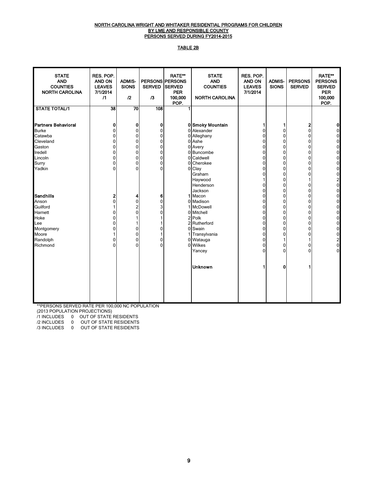#### NORTH CAROLINA WRIGHT AND WHITAKER RESIDENTIAL PROGRAMS FOR CHILDREN <u>BY LME AND RESPONSIBLE COUNTY</u> PERSONS SERVED DURING FY2014-2015

#### TABLE 2B

| <b>STATE</b><br><b>AND</b><br><b>COUNTIES</b><br><b>NORTH CAROLINA</b>                                                | RES. POP.<br><b>AND ON</b><br><b>LEAVES</b><br>7/1/2014<br>$\sqrt{1}$                                              | <b>ADMIS-</b><br><b>SIONS</b><br>12                         | <b>SERVED</b><br>/3                                                                                                        | <b>RATE**</b><br><b>PERSONS PERSONS</b><br><b>SERVED</b><br><b>PER</b><br>100,000<br>POP. | <b>STATE</b><br><b>AND</b><br><b>COUNTIES</b><br><b>NORTH CAROLINA</b>                                                                        | RES. POP.<br><b>AND ON</b><br><b>LEAVES</b><br>7/1/2014                                                                                                                      | <b>ADMIS-</b><br><b>SIONS</b>                            | <b>PERSONS</b><br><b>SERVED</b>                                                                                                                               | <b>RATE**</b><br><b>PERSONS</b><br><b>SERVED</b><br><b>PER</b><br>100,000<br>POP.                                                             |
|-----------------------------------------------------------------------------------------------------------------------|--------------------------------------------------------------------------------------------------------------------|-------------------------------------------------------------|----------------------------------------------------------------------------------------------------------------------------|-------------------------------------------------------------------------------------------|-----------------------------------------------------------------------------------------------------------------------------------------------|------------------------------------------------------------------------------------------------------------------------------------------------------------------------------|----------------------------------------------------------|---------------------------------------------------------------------------------------------------------------------------------------------------------------|-----------------------------------------------------------------------------------------------------------------------------------------------|
| <b>STATE TOTAL/1</b>                                                                                                  | 38                                                                                                                 | $\overline{70}$                                             | 108                                                                                                                        |                                                                                           |                                                                                                                                               |                                                                                                                                                                              |                                                          |                                                                                                                                                               |                                                                                                                                               |
| <b>Partners Behavioral</b><br><b>Burke</b><br>Catawba<br>Cleveland<br>Gaston<br>Iredell<br>Lincoln<br>Surry<br>Yadkin | $\mathbf 0$<br>$\Omega$<br>$\mathbf 0$<br>$\mathbf{0}$<br>$\Omega$<br>$\mathbf{0}$<br>0<br>$\mathbf 0$<br>$\Omega$ | 0<br>0<br>0<br>0<br>0<br>0<br>0<br>0<br>$\Omega$            | 0<br>$\mathbf 0$<br>$\mathbf 0$<br>$\mathbf 0$<br>$\mathbf 0$<br>$\mathbf 0$<br>$\mathbf 0$<br>$\mathbf 0$<br>$\mathbf{0}$ | $\Omega$<br>$\Omega$<br>$\Omega$<br>0<br>0<br>0                                           | 0 Smoky Mountain<br>Alexander<br>Alleghany<br>0 Ashe<br>0 Avery<br>Buncombe<br>Caldwell<br>Cherokee<br>Clay<br>Graham<br>Haywood<br>Henderson | 1<br>$\mathbf 0$<br>0<br>0<br>$\mathbf 0$<br>$\pmb{0}$<br>$\mathbf 0$<br>$\mathbf 0$<br>$\mathbf 0$<br>$\mathbf 0$<br>$\mathbf{1}$<br>$\mathbf 0$                            | 1<br>0<br>0<br>0<br>0<br>0<br>0<br>0<br>0<br>0<br>0<br>0 | 2<br>$\mathbf 0$<br>0<br>$\mathbf 0$<br>$\mathbf{0}$<br>$\mathbf{0}$<br>$\mathbf 0$<br>$\mathbf 0$<br>$\mathbf{0}$<br>$\mathbf{0}$<br>$\mathbf 0$             | 0<br>$\Omega$<br>0<br>$\mathbf 0$<br>0<br>$\mathbf 0$<br>$\mathbf 0$<br>$\mathbf 0$<br>$\pmb{0}$<br>$\pmb{0}$<br>$\frac{2}{0}$                |
| Sandhills<br>Anson<br>Guilford<br>Harnett<br>Hoke<br>Lee<br>Montgomery<br>Moore<br>Randolph<br>Richmond               | $\overline{2}$<br>$\mathbf{0}$<br>$\Omega$<br>$\Omega$<br>$\Omega$<br>$\Omega$<br>$\Omega$<br>$\Omega$             | 4<br>0<br>2<br>$\mathbf{0}$<br>1<br>0<br>0<br>0<br>$\Omega$ | 6<br>$\mathbf 0$<br>3<br>$\mathbf{0}$<br>$\mathbf{0}$<br>1<br>0<br>$\mathbf{0}$                                            | 1<br>0                                                                                    | Jackson<br>Macon<br>0 Madison<br>McDowell<br>Mitchell<br>2 Polk<br>2 Rutherford<br>0 Swain<br>Transylvania<br>0 Watauga<br>0 Wilkes<br>Yancey | $\mathbf 0$<br>$\mathbf 0$<br>$\mathbf 0$<br>$\mathbf 0$<br>$\mathbf 0$<br>$\pmb{0}$<br>$\mathbf 0$<br>$\mathbf 0$<br>$\mathbf 0$<br>$\pmb{0}$<br>$\mathbf 0$<br>$\mathbf 0$ | 0<br>0<br>0<br>0<br>0<br>0<br>0<br>0<br>0<br>1<br>0<br>0 | $\mathbf{0}$<br>$\mathbf{0}$<br>$\mathbf{0}$<br>$\mathbf{0}$<br>$\mathbf{0}$<br>$\mathbf{0}$<br>$\mathbf{0}$<br>$\mathbf{0}$<br>$\mathbf{0}$<br>0<br>$\Omega$ | $\mathbf 0$<br>$\mathbf 0$<br>$\mathbf 0$<br>0<br>$\mathbf 0$<br>0<br>$\mathbf 0$<br>$\pmb{0}$<br>$\mathbf 0$<br>$\frac{2}{0}$<br>$\mathbf 0$ |
|                                                                                                                       |                                                                                                                    |                                                             |                                                                                                                            |                                                                                           | <b>Unknown</b>                                                                                                                                | 1                                                                                                                                                                            | 0                                                        |                                                                                                                                                               |                                                                                                                                               |

\*\*PERSONS SERVED RATE PER 100,000 NC POPULATION

(2013 POPULATION PROJECTIONS)

/1 INCLUDES 0 OUT OF STATE RESIDENTS

/2 INCLUDES 0 OUT OF STATE RESIDENTS

/3 INCLUDES 0 OUT OF STATE RESIDENTS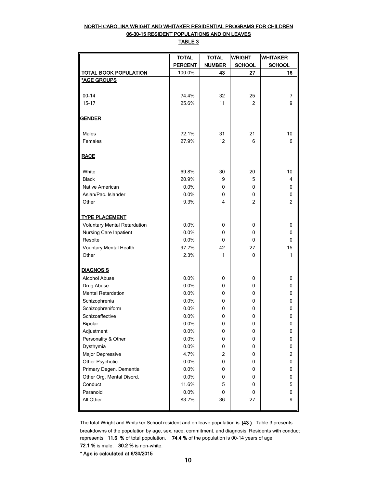### NORTH CAROLINA WRIGHT AND WHITAKER RESIDENTIAL PROGRAMS FOR CHILDREN 06-30-15 RESIDENT POPULATIONS AND ON LEAVES TABLE 3

|                                     | <b>TOTAL</b>   | <b>TOTAL</b>  | <b>WRIGHT</b>  | <b>WHITAKER</b> |
|-------------------------------------|----------------|---------------|----------------|-----------------|
|                                     | <b>PERCENT</b> | <b>NUMBER</b> | <b>SCHOOL</b>  | <b>SCHOOL</b>   |
| <b>TOTAL BOOK POPULATION</b>        | 100.0%         | 43            | 27             | 16              |
| *AGE GROUPS                         |                |               |                |                 |
|                                     |                |               |                |                 |
| $00 - 14$                           | 74.4%          | 32            | 25             | 7               |
| $15 - 17$                           | 25.6%          | 11            | $\overline{c}$ | 9               |
| <b>GENDER</b>                       |                |               |                |                 |
| Males                               | 72.1%          | 31            | 21             | 10              |
| Females                             | 27.9%          | 12            | 6              | 6               |
| <b>RACE</b>                         |                |               |                |                 |
| White                               | 69.8%          | 30            | 20             | 10              |
| <b>Black</b>                        | 20.9%          | 9             | 5              | 4               |
| Native American                     | 0.0%           | 0             | 0              | 0               |
| Asian/Pac. Islander                 | 0.0%           | 0             | 0              | 0               |
| Other                               | 9.3%           | 4             | $\overline{c}$ | $\overline{2}$  |
|                                     |                |               |                |                 |
| <b>TYPE PLACEMENT</b>               |                |               |                |                 |
| <b>Voluntary Mental Retardation</b> | 0.0%           | 0             | 0              | 0               |
| Nursing Care Inpatient              | 0.0%           | $\mathbf{0}$  | 0              | 0               |
| Respite                             | 0.0%           | 0             | 0              | 0               |
| Vountary Mental Health              | 97.7%          | 42            | 27             | 15              |
| Other                               | 2.3%           | 1             | $\Omega$       | 1               |
| <b>DIAGNOSIS</b>                    |                |               |                |                 |
| <b>Alcohol Abuse</b>                | 0.0%           | 0             | 0              | 0               |
| Drug Abuse                          | 0.0%           | 0             | 0              | 0               |
| <b>Mental Retardation</b>           | 0.0%           | 0             | 0              | 0               |
| Schizophrenia                       | 0.0%           | 0             | 0              | 0               |
| Schizophreniform                    | 0.0%           | 0             | 0              | 0               |
| Schizoaffective                     | 0.0%           | 0             | 0              | 0               |
| Bipolar                             | 0.0%           | 0             | 0              | 0               |
| Adjustment                          | 0.0%           | 0             | 0              | 0               |
| Personality & Other                 | 0.0%           | 0             | 0              | 0               |
| Dysthymia                           | 0.0%           | 0             | 0              | 0               |
| Major Depressive                    | 4.7%           | 2             | 0              | 2               |
| Other Psychotic                     | 0.0%           | 0             | 0              | 0               |
| Primary Degen. Dementia             | 0.0%           | 0             | 0              | 0               |
| Other Org. Mental Disord.           | 0.0%           | 0             | 0              | 0               |
| Conduct                             | 11.6%          | 5             | 0              | 5               |
| Paranoid                            | 0.0%           | 0             | 0              | 0               |
| All Other                           | 83.7%          | 36            | 27             | 9               |
|                                     |                |               |                |                 |

The total Wright and Whitaker School resident and on leave population is (43 ). Table 3 presents breakdowns of the population by age, sex, race, commitment, and diagnosis. Residents with conduct represents 11.6 % of total population. 74.4 % of the population is 00-14 years of age, 72.1 % is male. 30.2 % is non-white.

\* Age is calculated at 6/30/2015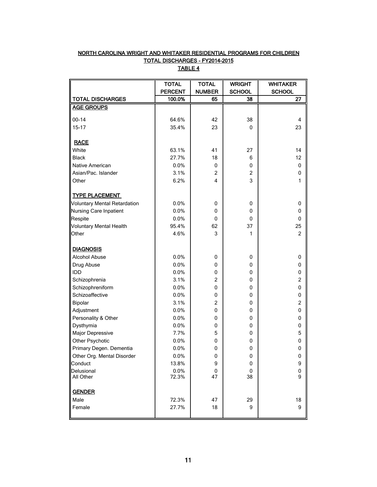# NORTH CAROLINA WRIGHT AND WHITAKER RESIDENTIAL PROGRAMS FOR CHILDREN TOTAL DISCHARGES - FY2014-2015 TABLE 4

|                                     | <b>TOTAL</b>   | <b>TOTAL</b>            | <b>WRIGHT</b>  | <b>WHITAKER</b>         |
|-------------------------------------|----------------|-------------------------|----------------|-------------------------|
|                                     | <b>PERCENT</b> | <b>NUMBER</b>           | <b>SCHOOL</b>  | <b>SCHOOL</b>           |
| <b>TOTAL DISCHARGES</b>             | 100.0%         | 65                      | 38             | 27                      |
| <b>AGE GROUPS</b>                   |                |                         |                |                         |
|                                     |                |                         |                |                         |
| $00 - 14$                           | 64.6%          | 42                      | 38             | $\overline{4}$          |
| $15 - 17$                           | 35.4%          | 23                      | $\Omega$       | 23                      |
| <b>RACE</b>                         |                |                         |                |                         |
| White                               | 63.1%          | 41                      | 27             | 14                      |
| <b>Black</b>                        | 27.7%          | 18                      | 6              | 12                      |
| Native American                     | 0.0%           | 0                       | 0              | 0                       |
| Asian/Pac. Islander                 | 3.1%           | $\overline{c}$          | $\overline{2}$ | 0                       |
| Other                               | 6.2%           | $\overline{\mathbf{4}}$ | 3              | 1                       |
|                                     |                |                         |                |                         |
| <b>TYPE PLACEMENT</b>               |                |                         |                |                         |
| <b>Voluntary Mental Retardation</b> | 0.0%           | 0                       | 0              | 0                       |
| <b>Nursing Care Inpatient</b>       | 0.0%           | 0                       | 0              | 0                       |
| Respite                             | 0.0%           | 0                       | 0              | 0                       |
| <b>Voluntary Mental Health</b>      | 95.4%          | 62                      | 37             | 25                      |
| Other                               | 4.6%           | 3                       | 1              | $\overline{2}$          |
|                                     |                |                         |                |                         |
| <b>DIAGNOSIS</b>                    |                |                         |                |                         |
| Alcohol Abuse                       | 0.0%           | 0                       | 0              | 0                       |
| Drug Abuse                          | 0.0%           | 0                       | 0              | 0                       |
| IDD                                 | 0.0%           | 0                       | 0              | 0                       |
| Schizophrenia                       | 3.1%           | $\overline{2}$          | 0              | $\overline{c}$          |
| Schizophreniform                    | 0.0%           | 0                       | 0              | 0                       |
| Schizoaffective                     | 0.0%           | 0                       | 0              | 0                       |
| Bipolar                             | 3.1%           | $\overline{2}$          | 0              | $\overline{\mathbf{c}}$ |
| Adjustment                          | 0.0%           | 0                       | 0              | 0                       |
| Personality & Other                 | 0.0%           | 0                       | 0              | 0                       |
| Dysthymia                           | 0.0%           | 0                       | 0              | 0                       |
| Major Depressive                    | 7.7%           | 5                       | 0              | 5                       |
| Other Psychotic                     | 0.0%           | 0                       | 0              | 0                       |
| Primary Degen. Dementia             | 0.0%           | 0                       | 0              | 0                       |
| Other Org. Mental Disorder          | 0.0%           | 0                       | 0              | U                       |
| Conduct                             | 13.8%          | 9                       | 0              | 9                       |
| Delusional                          | 0.0%           | 0                       | 0              | $\pmb{0}$               |
| All Other                           | 72.3%          | 47                      | 38             | 9                       |
|                                     |                |                         |                |                         |
| <b>GENDER</b>                       |                |                         |                |                         |
| Male                                | 72.3%          | 47                      | 29             | 18                      |
| Female                              | 27.7%          | 18                      | 9              | 9                       |
|                                     |                |                         |                |                         |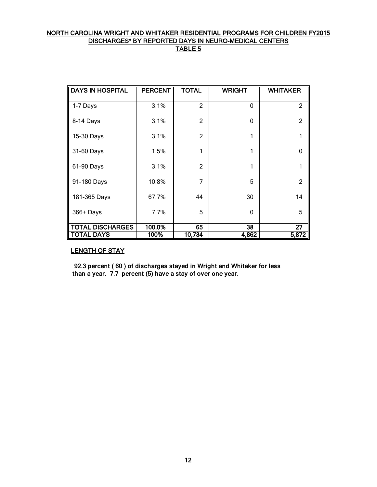# NORTH CAROLINA WRIGHT AND WHITAKER RESIDENTIAL PROGRAMS FOR CHILDREN FY2015 DISCHARGES\* BY REPORTED DAYS IN NEURO-MEDICAL CENTERS TABLE 5

| <b>DAYS IN HOSPITAL</b> | <b>PERCENT</b> | <b>TOTAL</b>   | <b>WRIGHT</b> | <b>WHITAKER</b> |
|-------------------------|----------------|----------------|---------------|-----------------|
| 1-7 Days                | 3.1%           | 2              | 0             | $\overline{2}$  |
| 8-14 Days               | 3.1%           | $\overline{2}$ | 0             | 2               |
| 15-30 Days              | 3.1%           | $\overline{2}$ | 1             |                 |
| 31-60 Days              | 1.5%           | 1              | 1             | $\Omega$        |
| 61-90 Days              | 3.1%           | $\overline{2}$ | 1             | 1               |
| 91-180 Days             | 10.8%          | 7              | 5             | $\overline{2}$  |
| 181-365 Days            | 67.7%          | 44             | 30            | 14              |
| 366+ Days               | 7.7%           | 5              | $\mathbf{0}$  | 5               |
| <b>DISCHARGES</b>       | 100.0%         | 65             | 38            | $\overline{27}$ |
| ∥ TOTAL DAYS            | 100%           | 10,734         | 4,862         | 5,872           |

# LENGTH OF STAY

 92.3 percent ( 60 ) of discharges stayed in Wright and Whitaker for less than a year. 7.7 percent (5) have a stay of over one year.